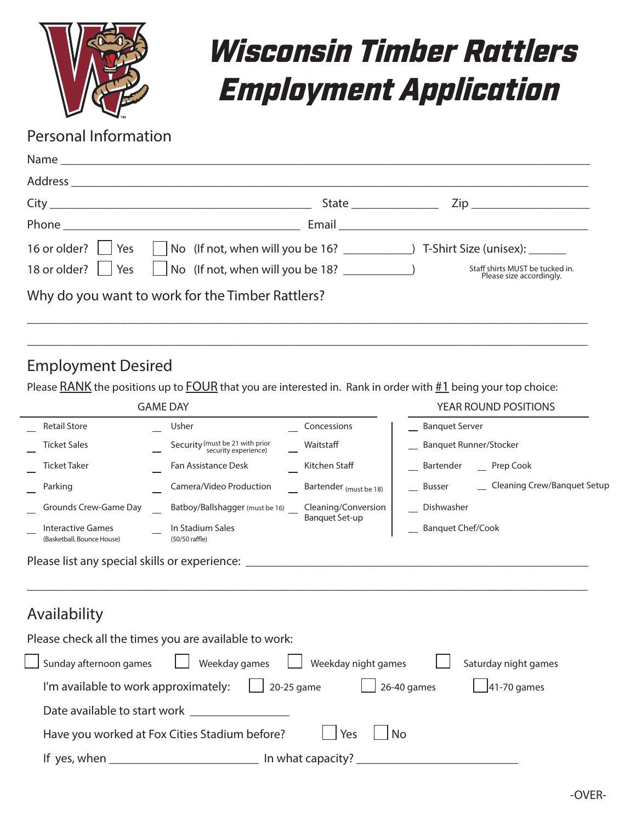

# *Wisconsin Timber Rattlers Employment Application*

# Personal Information

| Zip ___________________________ |
|---------------------------------|
|                                 |
|                                 |
| Staff shirts MUST be tucked in. |
|                                 |
|                                 |

\_\_\_\_\_\_\_\_\_\_\_\_\_\_\_\_\_\_\_\_\_\_\_\_\_\_\_\_\_\_\_\_\_\_\_\_\_\_\_\_\_\_\_\_\_\_\_\_\_\_\_\_\_\_\_\_\_\_\_\_\_\_\_\_\_\_\_\_\_\_\_\_\_\_\_\_\_\_\_\_\_\_\_\_\_\_\_\_\_\_

## Employment Desired

Please **RANK** the positions up to **FOUR** that you are interested in. Rank in order with **#1** being your top choice:

| <b>GAME DAY</b>                                        |                                                         |                        | YEAR ROUND POSITIONS                    |
|--------------------------------------------------------|---------------------------------------------------------|------------------------|-----------------------------------------|
| <b>Retail Store</b>                                    | Usher                                                   | Concessions            | <b>Banquet Server</b>                   |
| <b>Ticket Sales</b>                                    | Security (must be 21 with prior<br>security experience) | Waitstaff              | <b>Banquet Runner/Stocker</b>           |
| <b>Ticket Taker</b>                                    | Fan Assistance Desk                                     | Kitchen Staff          | Bartender<br>__ Prep Cook               |
| Parking                                                | Camera/Video Production                                 | Bartender (must be 18) | _ Cleaning Crew/Banquet Setup<br>Busser |
| Grounds Crew-Game Day                                  | Batboy/Ballshagger (must be 16)                         | Cleaning/Conversion    | Dishwasher                              |
| <b>Interactive Games</b><br>(Basketball, Bounce House) | In Stadium Sales<br>(50/50 raffle)                      | <b>Banquet Set-up</b>  | <b>Banquet Chef/Cook</b>                |
| Availability                                           |                                                         |                        |                                         |
|                                                        | Please check all the times you are available to work:   |                        |                                         |
| Sunday afternoon games                                 | Weekday games                                           | Weekday night games    | Saturday night games                    |
| I'm available to work approximately:                   |                                                         | 20-25 game             | 26-40 games<br>41-70 games              |
| Date available to start work _                         |                                                         |                        |                                         |
|                                                        | Have you worked at Fox Cities Stadium before?           | Yes                    | No                                      |
| If yes, when                                           |                                                         | In what capacity?      |                                         |